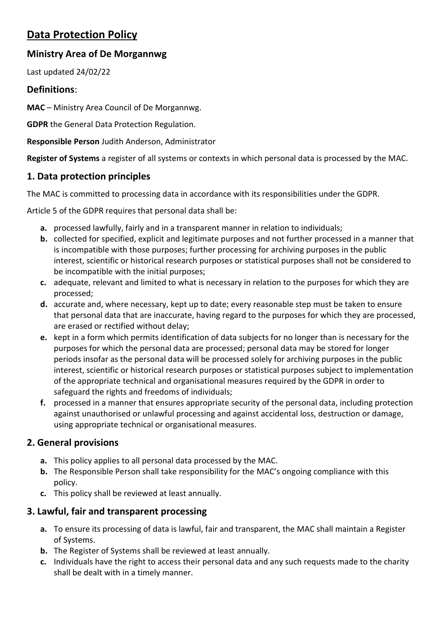# **Data Protection Policy**

### **Ministry Area of De Morgannwg**

Last updated 24/02/22

### **Definitions**:

**MAC** – Ministry Area Council of De Morgannwg.

**GDPR** the General Data Protection Regulation.

**Responsible Person** Judith Anderson, Administrator

**Register of Systems** a register of all systems or contexts in which personal data is processed by the MAC.

# **1. Data protection principles**

The MAC is committed to processing data in accordance with its responsibilities under the GDPR.

Article 5 of the GDPR requires that personal data shall be:

- **a.** processed lawfully, fairly and in a transparent manner in relation to individuals;
- **b.** collected for specified, explicit and legitimate purposes and not further processed in a manner that is incompatible with those purposes; further processing for archiving purposes in the public interest, scientific or historical research purposes or statistical purposes shall not be considered to be incompatible with the initial purposes;
- **c.** adequate, relevant and limited to what is necessary in relation to the purposes for which they are processed;
- **d.** accurate and, where necessary, kept up to date; every reasonable step must be taken to ensure that personal data that are inaccurate, having regard to the purposes for which they are processed, are erased or rectified without delay;
- **e.** kept in a form which permits identification of data subjects for no longer than is necessary for the purposes for which the personal data are processed; personal data may be stored for longer periods insofar as the personal data will be processed solely for archiving purposes in the public interest, scientific or historical research purposes or statistical purposes subject to implementation of the appropriate technical and organisational measures required by the GDPR in order to safeguard the rights and freedoms of individuals;
- **f.** processed in a manner that ensures appropriate security of the personal data, including protection against unauthorised or unlawful processing and against accidental loss, destruction or damage, using appropriate technical or organisational measures.

# **2. General provisions**

- **a.** This policy applies to all personal data processed by the MAC.
- **b.** The Responsible Person shall take responsibility for the MAC's ongoing compliance with this policy.
- **c.** This policy shall be reviewed at least annually.

# **3. Lawful, fair and transparent processing**

- **a.** To ensure its processing of data is lawful, fair and transparent, the MAC shall maintain a Register of Systems.
- **b.** The Register of Systems shall be reviewed at least annually.
- **c.** Individuals have the right to access their personal data and any such requests made to the charity shall be dealt with in a timely manner.